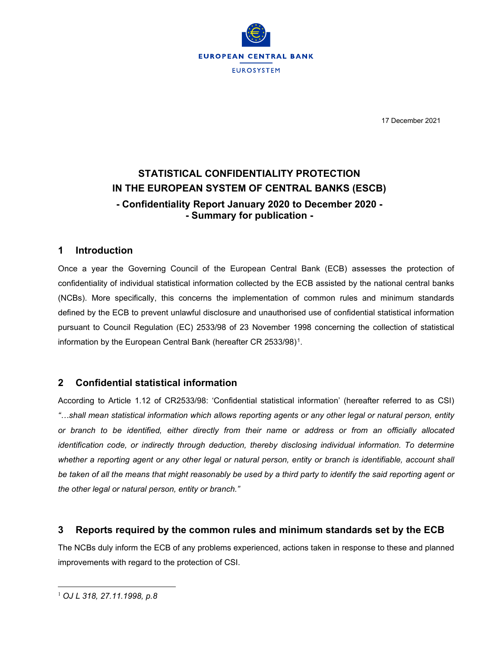

17 December 2021

# **STATISTICAL CONFIDENTIALITY PROTECTION IN THE EUROPEAN SYSTEM OF CENTRAL BANKS (ESCB) - Confidentiality Report January 2020 to December 2020 - - Summary for publication -**

#### **1 Introduction**

Once a year the Governing Council of the European Central Bank (ECB) assesses the protection of confidentiality of individual statistical information collected by the ECB assisted by the national central banks (NCBs). More specifically, this concerns the implementation of common rules and minimum standards defined by the ECB to prevent unlawful disclosure and unauthorised use of confidential statistical information pursuant to Council Regulation (EC) 2533/98 of 23 November 1998 concerning the collection of statistical information by the European Central Bank (hereafter CR 2533/98)<sup>1</sup>.

## **2 Confidential statistical information**

According to Article 1.12 of CR2533/98: 'Confidential statistical information' (hereafter referred to as CSI) *"…shall mean statistical information which allows reporting agents or any other legal or natural person, entity or branch to be identified, either directly from their name or address or from an officially allocated identification code, or indirectly through deduction, thereby disclosing individual information. To determine* whether a reporting agent or any other legal or natural person, entity or branch is identifiable, account shall *be taken of all the means that might reasonably be used by a third party to identify the said reporting agent or the other legal or natural person, entity or branch."*

## **3 Reports required by the common rules and minimum standards set by the ECB**

<span id="page-0-0"></span>The NCBs duly inform the ECB of any problems experienced, actions taken in response to these and planned improvements with regard to the protection of CSI.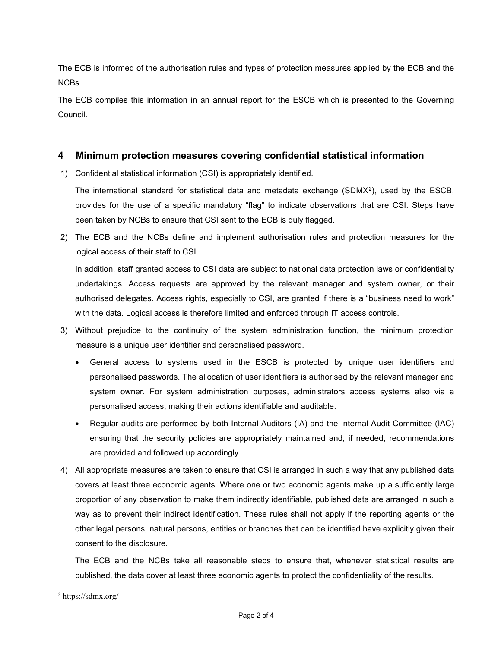The ECB is informed of the authorisation rules and types of protection measures applied by the ECB and the NCBs.

The ECB compiles this information in an annual report for the ESCB which is presented to the Governing Council.

#### **4 Minimum protection measures covering confidential statistical information**

1) Confidential statistical information (CSI) is appropriately identified.

The international standard for statistical data and metadata exchange (SDMX[2](#page-1-0)), used by the ESCB, provides for the use of a specific mandatory "flag" to indicate observations that are CSI. Steps have been taken by NCBs to ensure that CSI sent to the ECB is duly flagged.

2) The ECB and the NCBs define and implement authorisation rules and protection measures for the logical access of their staff to CSI.

In addition, staff granted access to CSI data are subject to national data protection laws or confidentiality undertakings. Access requests are approved by the relevant manager and system owner, or their authorised delegates. Access rights, especially to CSI, are granted if there is a "business need to work" with the data. Logical access is therefore limited and enforced through IT access controls.

- 3) Without prejudice to the continuity of the system administration function, the minimum protection measure is a unique user identifier and personalised password.
	- General access to systems used in the ESCB is protected by unique user identifiers and personalised passwords. The allocation of user identifiers is authorised by the relevant manager and system owner. For system administration purposes, administrators access systems also via a personalised access, making their actions identifiable and auditable.
	- Regular audits are performed by both Internal Auditors (IA) and the Internal Audit Committee (IAC) ensuring that the security policies are appropriately maintained and, if needed, recommendations are provided and followed up accordingly.
- 4) All appropriate measures are taken to ensure that CSI is arranged in such a way that any published data covers at least three economic agents. Where one or two economic agents make up a sufficiently large proportion of any observation to make them indirectly identifiable, published data are arranged in such a way as to prevent their indirect identification. These rules shall not apply if the reporting agents or the other legal persons, natural persons, entities or branches that can be identified have explicitly given their consent to the disclosure.

The ECB and the NCBs take all reasonable steps to ensure that, whenever statistical results are published, the data cover at least three economic agents to protect the confidentiality of the results.

<span id="page-1-0"></span><sup>2</sup> https://sdmx.org/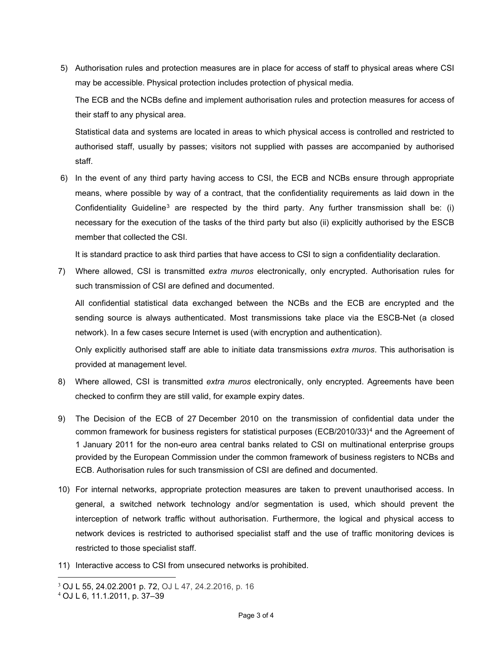5) Authorisation rules and protection measures are in place for access of staff to physical areas where CSI may be accessible. Physical protection includes protection of physical media.

The ECB and the NCBs define and implement authorisation rules and protection measures for access of their staff to any physical area.

Statistical data and systems are located in areas to which physical access is controlled and restricted to authorised staff, usually by passes; visitors not supplied with passes are accompanied by authorised staff.

6) In the event of any third party having access to CSI, the ECB and NCBs ensure through appropriate means, where possible by way of a contract, that the confidentiality requirements as laid down in the Confidentiality Guideline<sup>[3](#page-2-0)</sup> are respected by the third party. Any further transmission shall be: (i) necessary for the execution of the tasks of the third party but also (ii) explicitly authorised by the ESCB member that collected the CSI.

It is standard practice to ask third parties that have access to CSI to sign a confidentiality declaration.

7) Where allowed, CSI is transmitted *extra muros* electronically, only encrypted. Authorisation rules for such transmission of CSI are defined and documented.

All confidential statistical data exchanged between the NCBs and the ECB are encrypted and the sending source is always authenticated. Most transmissions take place via the ESCB-Net (a closed network). In a few cases secure Internet is used (with encryption and authentication).

Only explicitly authorised staff are able to initiate data transmissions *extra muros*. This authorisation is provided at management level.

- 8) Where allowed, CSI is transmitted *extra muros* electronically, only encrypted. Agreements have been checked to confirm they are still valid, for example expiry dates.
- 9) The Decision of the ECB of 27 December 2010 on the transmission of confidential data under the common framework for business registers for statistical purposes (ECB/2010/33)<sup>[4](#page-2-1)</sup> and the Agreement of 1 January 2011 for the non-euro area central banks related to CSI on multinational enterprise groups provided by the European Commission under the common framework of business registers to NCBs and ECB. Authorisation rules for such transmission of CSI are defined and documented.
- 10) For internal networks, appropriate protection measures are taken to prevent unauthorised access. In general, a switched network technology and/or segmentation is used, which should prevent the interception of network traffic without authorisation. Furthermore, the logical and physical access to network devices is restricted to authorised specialist staff and the use of traffic monitoring devices is restricted to those specialist staff.
- 11) Interactive access to CSI from unsecured networks is prohibited.

<span id="page-2-0"></span><sup>3</sup> OJ L 55, 24.02.2001 p. 72, OJ L 47, 24.2.2016, p. 16

<span id="page-2-1"></span><sup>4</sup> OJ L 6, 11.1.2011, p. 37–39